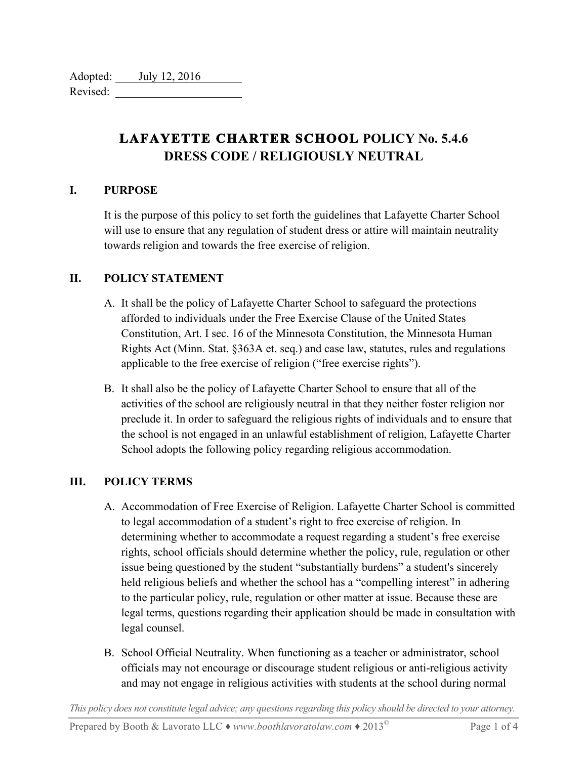Adopted: July 12, 2016 Revised:

# **LAFAYETTE CHARTER SCHOOL POLICY No. 5.4.6 DRESS CODE / RELIGIOUSLY NEUTRAL**

#### **I. PURPOSE**

It is the purpose of this policy to set forth the guidelines that Lafayette Charter School will use to ensure that any regulation of student dress or attire will maintain neutrality towards religion and towards the free exercise of religion.

## **II. POLICY STATEMENT**

- A. It shall be the policy of Lafayette Charter School to safeguard the protections afforded to individuals under the Free Exercise Clause of the United States Constitution, Art. I sec. 16 of the Minnesota Constitution, the Minnesota Human Rights Act (Minn. Stat. §363A et. seq.) and case law, statutes, rules and regulations applicable to the free exercise of religion ("free exercise rights").
- B. It shall also be the policy of Lafayette Charter School to ensure that all of the activities of the school are religiously neutral in that they neither foster religion nor preclude it. In order to safeguard the religious rights of individuals and to ensure that the school is not engaged in an unlawful establishment of religion, Lafayette Charter School adopts the following policy regarding religious accommodation.

## **III. POLICY TERMS**

- A. Accommodation of Free Exercise of Religion. Lafayette Charter School is committed to legal accommodation of a student's right to free exercise of religion. In determining whether to accommodate a request regarding a student's free exercise rights, school officials should determine whether the policy, rule, regulation or other issue being questioned by the student "substantially burdens" a student's sincerely held religious beliefs and whether the school has a "compelling interest" in adhering to the particular policy, rule, regulation or other matter at issue. Because these are legal terms, questions regarding their application should be made in consultation with legal counsel.
- B. School Official Neutrality. When functioning as a teacher or administrator, school officials may not encourage or discourage student religious or anti-religious activity and may not engage in religious activities with students at the school during normal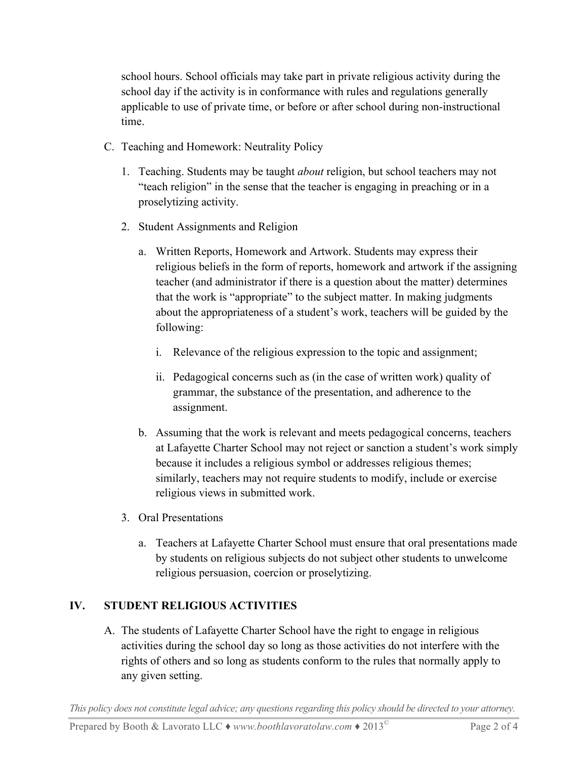school hours. School officials may take part in private religious activity during the school day if the activity is in conformance with rules and regulations generally applicable to use of private time, or before or after school during non-instructional time.

- C. Teaching and Homework: Neutrality Policy
	- 1. Teaching. Students may be taught *about* religion, but school teachers may not "teach religion" in the sense that the teacher is engaging in preaching or in a proselytizing activity.
	- 2. Student Assignments and Religion
		- a. Written Reports, Homework and Artwork. Students may express their religious beliefs in the form of reports, homework and artwork if the assigning teacher (and administrator if there is a question about the matter) determines that the work is "appropriate" to the subject matter. In making judgments about the appropriateness of a student's work, teachers will be guided by the following:
			- i. Relevance of the religious expression to the topic and assignment;
			- ii. Pedagogical concerns such as (in the case of written work) quality of grammar, the substance of the presentation, and adherence to the assignment.
		- b. Assuming that the work is relevant and meets pedagogical concerns, teachers at Lafayette Charter School may not reject or sanction a student's work simply because it includes a religious symbol or addresses religious themes; similarly, teachers may not require students to modify, include or exercise religious views in submitted work.
	- 3. Oral Presentations
		- a. Teachers at Lafayette Charter School must ensure that oral presentations made by students on religious subjects do not subject other students to unwelcome religious persuasion, coercion or proselytizing.

## **IV. STUDENT RELIGIOUS ACTIVITIES**

A. The students of Lafayette Charter School have the right to engage in religious activities during the school day so long as those activities do not interfere with the rights of others and so long as students conform to the rules that normally apply to any given setting.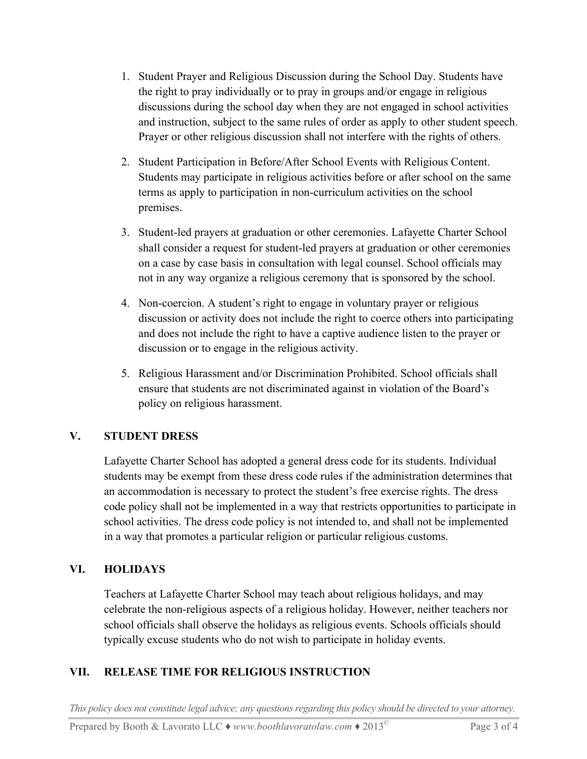- 1. Student Prayer and Religious Discussion during the School Day. Students have the right to pray individually or to pray in groups and/or engage in religious discussions during the school day when they are not engaged in school activities and instruction, subject to the same rules of order as apply to other student speech. Prayer or other religious discussion shall not interfere with the rights of others.
- 2. Student Participation in Before/After School Events with Religious Content. Students may participate in religious activities before or after school on the same terms as apply to participation in non-curriculum activities on the school premises.
- 3. Student-led prayers at graduation or other ceremonies. Lafayette Charter School shall consider a request for student-led prayers at graduation or other ceremonies on a case by case basis in consultation with legal counsel. School officials may not in any way organize a religious ceremony that is sponsored by the school.
- 4. Non-coercion. A student's right to engage in voluntary prayer or religious discussion or activity does not include the right to coerce others into participating and does not include the right to have a captive audience listen to the prayer or discussion or to engage in the religious activity.
- 5. Religious Harassment and/or Discrimination Prohibited. School officials shall ensure that students are not discriminated against in violation of the Board's policy on religious harassment.

## **V. STUDENT DRESS**

Lafayette Charter School has adopted a general dress code for its students. Individual students may be exempt from these dress code rules if the administration determines that an accommodation is necessary to protect the student's free exercise rights. The dress code policy shall not be implemented in a way that restricts opportunities to participate in school activities. The dress code policy is not intended to, and shall not be implemented in a way that promotes a particular religion or particular religious customs.

## **VI. HOLIDAYS**

Teachers at Lafayette Charter School may teach about religious holidays, and may celebrate the non-religious aspects of a religious holiday. However, neither teachers nor school officials shall observe the holidays as religious events. Schools officials should typically excuse students who do not wish to participate in holiday events.

## **VII. RELEASE TIME FOR RELIGIOUS INSTRUCTION**